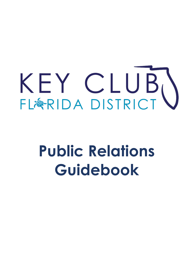# J j I I

## $\overline{a}$  **Public Relations**  j í **Guidebook**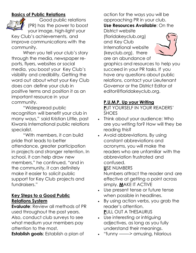## **Basics of Public Relations**



Good public relations (PR) has the power to boost your image, high-light your

Key Club's achievements, and improve communications with the community.

When you tell your club's story through the media, newspaper reports, flyers, websites or social media, you boost your Key Club's visibility and credibility. Getting the word out about what your Key Club does can define your club in positive terms and position it as an important resource in your community.

"Widespread public recognition will benefit your club in many ways," said Kristian Little, past Kiwanis International public relations specialist.

"With members, it can build pride that leads to better attendance, greater participation in projects and stronger retention. In school, it can help draw new members," he continued, "and in the community, it can definitely make it easier to solicit public support for Key Club projects and fundraisers."

#### **Key Steps to a Good Public Relations System**

**Evaluate**: Review all methods of PR used throughout the past years. Also, conduct club surveys to see what medium your members pay attention to the most.

**Establish goals**: Establish a plan of

action for the ways you will be approaching PR in your club. **Use Resources Available**: On the

District website (floridakeyclub.org) and Key Club International website (keyclub.org), there are an abundance of



graphics and resources to help you succeed in your PR tasks. If you have any questions about public relations, contact your Lieutenant Governor or the District Editor at editor@floridakeyclub.org.

## **P.U.M.P. Up your Writing**

**P**UT YOURSELF IN YOUR READERS' **SHOES** 

- Think about your audience: Who are you writing for? How will they be reading this?
- Avoid abbreviations. By using constant abbreviations and acronyms, you will make the readers who are unfamiliar with the abbreviation frustrated and confused.

#### **U**SE NUMBERS

Numbers attract the reader and are effective at getting a point across simply. **M**AKE IT ACTIVE

- Use present tense or future tense when possible in headlines.
- By using action verbs, you grab the reader's attention. **P**ULL OUT A THESAURUS
- Use interesting or intriguing adjectives, as long as you fully understand their meanings.
- "funny ——-> amusing, hilarious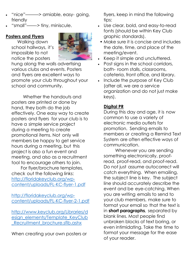- "nice"———> amiable, easy- going, friendly
- "small"——-> tiny, miniscule.

#### **Posters and Flyers**

Walking down school hallways, it's impossible to not notice the posters



hung along the walls advertising various clubs and events. Posters and flyers are excellent ways to promote your club throughout your school and community.

Whether the handouts and posters are printed or done by hand, they both do the job effectively. One easy way to create posters and flyers for your club is to have a simple service project during a meeting to create promotional items. Not only will members be happy to get service hours during a meeting, but this project is also a fun event and meeting, and also as a recruitment tool to encourage others to join.

For flyer/brochure templates, check out the following links: [http://floridakeyclub.org/wp](http://floridakeyclub.org/wp-content/uploads/FL-KC-flyer-1.pdf)[content/uploads/FL-KC-flyer-1.pdf](http://floridakeyclub.org/wp-content/uploads/FL-KC-flyer-1.pdf)

[http://floridakeyclub.org/wp](http://floridakeyclub.org/wp-content/uploads/FL-KC-flyer-2-1.pdf)[content/uploads/FL-KC-flyer-2-1.pdf](http://floridakeyclub.org/wp-content/uploads/FL-KC-flyer-2-1.pdf)

[http://www.keyclub.org/Libraries/d](http://www.keyclub.org/Libraries/design_elements/Template_KeyClub_Recruitment_brochure.sflb.ashx) [esign\\_elements/Template\\_KeyClub](http://www.keyclub.org/Libraries/design_elements/Template_KeyClub_Recruitment_brochure.sflb.ashx) Recruitment brochure.sflb.ashx

When creating your own posters or

flyers, keep in mind the following tips:

- Use clear, bold, and easy-to-read fonts (should be within Key Club graphic standards).
- Make sure it is concise and includes the date, time, and place of the meeting/event.
- Keep it simple and uncluttered.
- Post signs in the school corridors, bath- room stalls, classrooms, cafeteria, front office, and library.
- Include the purpose of Key Club (after all, we are a service organization and do not just make keys).

## **Digital PR**

During this day and age, it is now common to use a variety of electronic media outlets for promotion. Sending emails to members or creating a Remind Text System are often effective ways of communication.

Whenever you are sending something electronically, proofread, proof-read, and proof-read. Do not just assume autocorrect will catch everything. When emailing, the subject line is key. The subject line should accurately describe the event and be eye-catching. When you are writing emails to send to your club members, make sure to format your email so that the text is in **short paragraphs**, separated by blank lines. Most people find unbroken blocks of text boring, or even intimidating. Take the time to format your message for the ease of your reader.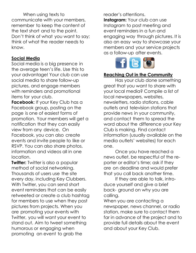When using texts to communicate with your members, remember to keep the content of the text short and to the point. Don't think of what you want to say; think of what the reader needs to know.

#### **Social Media**

Social media is a big presence in the average teen's life. Use this to your advantage! Your club can use social media to share follow-up pictures, and engage members with reminders and promotional items for your club.

**Facebook**: If your Key Club has a Facebook group, posting on the page is one of easiest forms of promotion. Your members will get a notification that they can easily view from any device. On Facebook, you can also create events and invite people to like or RSVP. You can also share photos, information and videos all in one location.

**Twitter:** Twitter is also a popular method of social networking. Thousands of users use the site every day, including Key Clubbers. With Twitter, you can send short event reminders that can be easily retweeted or create a club hashtag for members to use when they post pictures from projects. When you are promoting your events with Twitter, you will want your event to stand out. Aim to tweet something humorous or engaging when promoting an event to grab the

reader's attentions.

**Instagram:** Your club can use Instagram to post meeting and event reminders in a fun and engaging way through pictures. It is also an easy way to showcase your members and your service projects as a follow-up after events.



#### **Reaching Out in the Community**

Has your club done something great that you want to share with your local media? Compile a list of local newspapers, websites, newsletters, radio stations, cable outlets and television stations that provide news in your community, and contact them to spread the word about the difference your Key Club is making. Find contact information (usually available on the media outlets' websites) for each one.

Once you have reached a news outlet, be respectful of the reporter or editor's time; ask if they are on deadline and would prefer that you call back another time.

If they are able to talk, introduce yourself and give a brief back- ground on why you are calling.

When you are contacting a newspaper, news channel, or radio station, make sure to contact them far in advance of the project and to provide full details about the event and about your Key Club.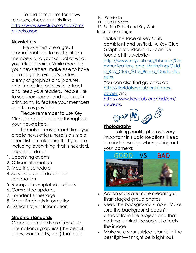To find templates for news releases, check out this link: [http://www.keyclub.org/fad/cm/](http://www.keyclub.org/fad/cm/prtools.aspx) [prtools.aspx](http://www.keyclub.org/fad/cm/prtools.aspx)

#### **Newsletters**

Newsletters are a great promotional tool to use to inform members and your school of what your club is doing. While creating your newsletters, make sure to have a catchy title (Ex: Lily's Letters), plenty of graphics and pictures, and interesting articles to attract and keep your readers. People like to see their names and pictures in print, so try to feature your members as often as possible.

Please remember to use Key Club graphic standards throughout your newsletters.

To make it easier each time you create newsletters, here is a simple checklist to make sure that you are including everything that is needed. Important dates

- 1. Upcoming events
- 2. Officer information
- 3. Meeting schedule
- 4. Service project dates and information
- 5. Recap of completed projects
- 6. Committee updates
- 7. President's message
- 8. Major Emphasis information
- 9. District Project Information

## **Graphic Standards**

Graphic standards are Key Club International graphics (the pencil, logos, wordmarks, etc.) that help

10. Reminders

11. Dues Update

12. Florida District and Key Club International Logos

> make the face of Key Club consistent and unified. A Key Club Graphic Standards PDF can be found at this website:

[http://www.keyclub.org/Libraries/Co](http://www.keyclub.org/Libraries/Communications_and_Marketing/Guide_Key_Club_2015_Brand_Guide.sflb.ashx) mmunications and Marketing/Guid e Key Club 2015 Brand Guide.sflb. [ashx](http://www.keyclub.org/Libraries/Communications_and_Marketing/Guide_Key_Club_2015_Brand_Guide.sflb.ashx)

You can also find graphics at: [http://floridakeyclub.org/logos-](http://floridakeyclub.org/logos-page/)

[page/](http://floridakeyclub.org/logos-page/) and

[http://www.keyclub.org/fad/cm/](http://www.keyclub.org/fad/cm/de.aspx) [de.aspx.](http://www.keyclub.org/fad/cm/de.aspx)



### **Photography**

Taking quality photos is very important in Public Relations. Keep in mind these tips when pulling out your camera:



- Action shots are more meaningful than staged group photos.
- Keep the background simple. Make sure the background doesn't distract from the subject and that nothing behind the subject affects the image.
- Make sure your subject stands in the best light—it might be bright out,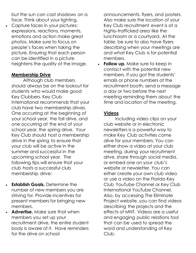but the sun can cast shadows on a face. Think about your lighting.

 Capture faces in your pictures; expressions, reactions, moments, emotions and action make great photos. Make sure to focus on people's faces when taking the picture. Ensuring that each person can be identified in a picture heightens the quality of the image.

#### **Membership Drive**

Although club members should always be on the lookout for students who would make good Key Clubbers, Key Club International recommends that your club have two membership drives. One occurring at the beginning of your school year, the fall drive, and one occurring at the end of your school year, the spring drive. Your Key Club should host a membership drive in the spring to ensure that your club will be active in the summer and successful in the upcoming school year. The following tips will ensure that your club hosts a successful club membership drive:

- **Establish Goals.** Determine the number of new members you are striving for. Provide incentives for present members for bringing new members.
- **Advertise.** Make sure that when members you set up your recruitment drive, the entire student body is aware of it. Have reminders for the drive on school

announcements, flyers, and posters. Also make sure the location of your Key Club recruitment event is at a highly-trafficked area like the lunchroom or a courtyard. At the table, be sure to also have flyers describing when your meetings are and what Key Club is for potential members.

**Follow up.** Make sure to keep in contact with the potential new members. If you got the students' emails or phone numbers at the recruitment booth, send a message a day or two before the next meeting reminding them about the time and location of the meeting.

#### **Videos**

Including video clips on your club website or in electronic newsletters is a powerful way to make Key Club activities come alive for your members. You can either show a video at your club meeting, during your recruitment drive, share through social media, or embed one on your club's website or newsletter. You can either create your own club video or use a video on the Florida Key Club YouTube Channel or Key Club International YouTube Channel. Also, by accessing The Eliminate Project website, you can find videos describing the projects and the effects of MNT. Videos are a useful and engaging public relations tool that can be used to spread the word and understanding of Key Club.